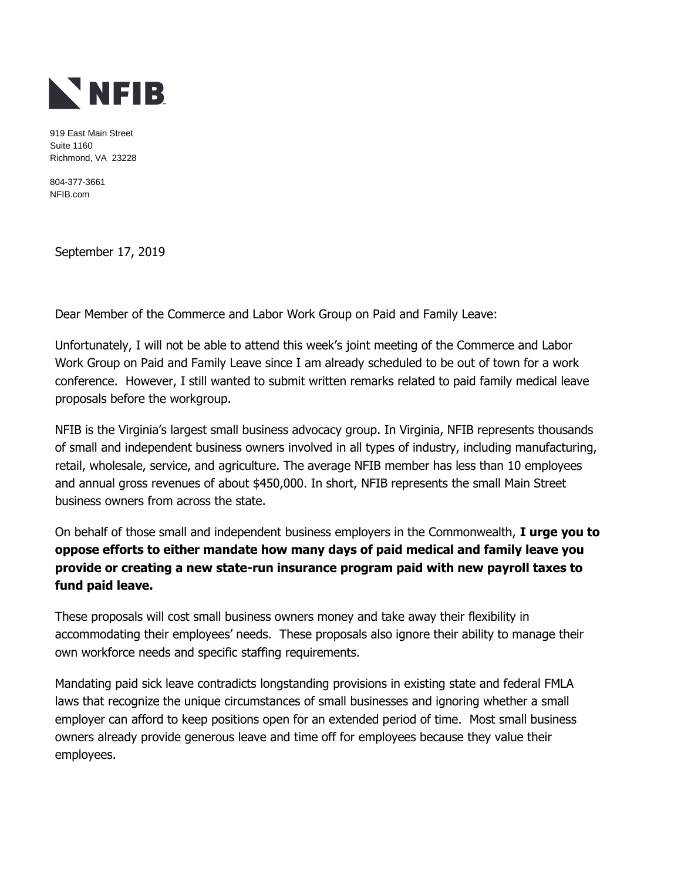

919 East Main Street Suite 1160 Richmond, VA 23228

804-377-3661 NFIB.com

September 17, 2019

Dear Member of the Commerce and Labor Work Group on Paid and Family Leave:

Unfortunately, I will not be able to attend this week's joint meeting of the Commerce and Labor Work Group on Paid and Family Leave since I am already scheduled to be out of town for a work conference. However, I still wanted to submit written remarks related to paid family medical leave proposals before the workgroup.

NFIB is the Virginia's largest small business advocacy group. In Virginia, NFIB represents thousands of small and independent business owners involved in all types of industry, including manufacturing, retail, wholesale, service, and agriculture. The average NFIB member has less than 10 employees and annual gross revenues of about \$450,000. In short, NFIB represents the small Main Street business owners from across the state.

On behalf of those small and independent business employers in the Commonwealth, **I urge you to oppose efforts to either mandate how many days of paid medical and family leave you provide or creating a new state-run insurance program paid with new payroll taxes to fund paid leave.** 

These proposals will cost small business owners money and take away their flexibility in accommodating their employees' needs. These proposals also ignore their ability to manage their own workforce needs and specific staffing requirements.

Mandating paid sick leave contradicts longstanding provisions in existing state and federal FMLA laws that recognize the unique circumstances of small businesses and ignoring whether a small employer can afford to keep positions open for an extended period of time. Most small business owners already provide generous leave and time off for employees because they value their employees.